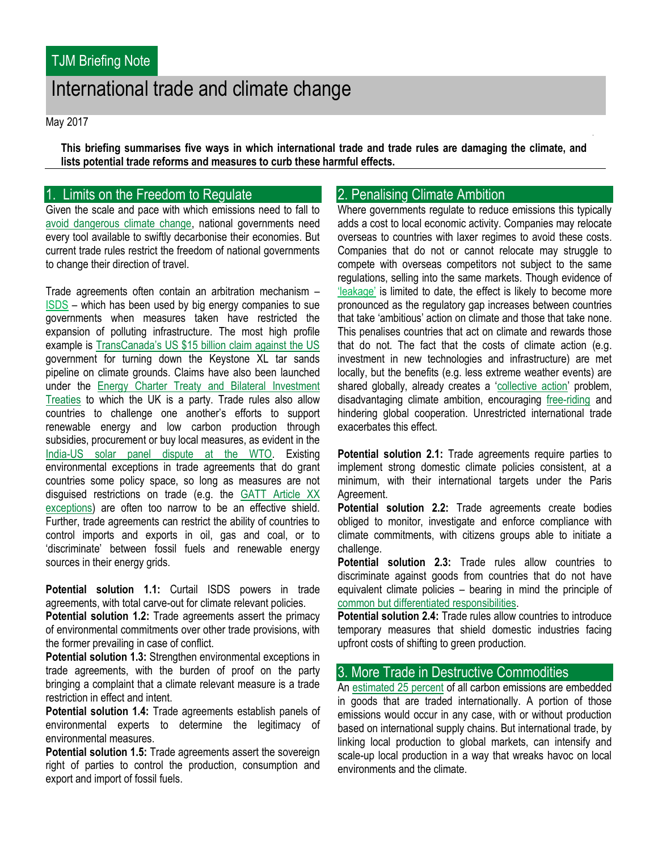# International trade and climate change

May 2017

**This briefing summarises five ways in which international trade and trade rules are damaging the climate, and lists potential trade reforms and measures to curb these harmful effects.**

# 1. Limits on the Freedom to Regulate

Given the scale and pace with which emissions need to fall to [avoid dangerous climate change,](http://web.unep.org/emissionsgap/resources) national governments need every tool available to swiftly decarbonise their economies. But current trade rules restrict the freedom of national governments to change their direction of travel.

Trade agreements often contain an arbitration mechanism – [ISDS](http://tjm.org.uk/trade-deals/bilateral-investment-treaties) – which has been used by big energy companies to sue governments when measures taken have restricted the expansion of polluting infrastructure. The most high profile example is [TransCanada's US \\$15 billion claim against the US](https://canadians.org/sites/default/files/publications/oil-vs-climate-0216.pdf) government for turning down the Keystone XL tar sands pipeline on climate grounds. Claims have also been launched under the [Energy Charter Treaty and Bilateral Investment](http://tjm.org.uk/resources/reports/take-back-the-power-energy-transition-and-the-international-trade-and-investment-regime)  [Treaties](http://tjm.org.uk/resources/reports/take-back-the-power-energy-transition-and-the-international-trade-and-investment-regime) to which the UK is a party. Trade rules also allow countries to challenge one another's efforts to support renewable energy and low carbon production through subsidies, procurement or buy local measures, as evident in the [India-US solar panel dispute at the WTO.](http://sierraclub.org/environmentallaw/compass/2016/02/wto-just-ruled-against-india-s-booming-solar-program) Existing environmental exceptions in trade agreements that do grant countries some policy space, so long as measures are not disguised restrictions on trade (e.g. the GATT Article XX [exceptions\)](https://www.wto.org/english/tratop_e/envir_e/envt_rules_exceptions_e.htm) are often too narrow to be an effective shield. Further, trade agreements can restrict the ability of countries to control imports and exports in oil, gas and coal, or to 'discriminate' between fossil fuels and renewable energy sources in their energy grids.

**Potential solution 1.1:** Curtail ISDS powers in trade agreements, with total carve-out for climate relevant policies.

**Potential solution 1.2:** Trade agreements assert the primacy of environmental commitments over other trade provisions, with the former prevailing in case of conflict.

**Potential solution 1.3:** Strengthen environmental exceptions in trade agreements, with the burden of proof on the party bringing a complaint that a climate relevant measure is a trade restriction in effect and intent.

**Potential solution 1.4:** Trade agreements establish panels of environmental experts to determine the legitimacy of environmental measures.

**Potential solution 1.5:** Trade agreements assert the sovereign right of parties to control the production, consumption and export and import of fossil fuels.

# 2. Penalising Climate Ambition

Where governments regulate to reduce emissions this typically adds a cost to local economic activity. Companies may relocate overseas to countries with laxer regimes to avoid these costs. Companies that do not or cannot relocate may struggle to compete with overseas competitors not subject to the same regulations, selling into the same markets. Though evidence of ['leakage'](https://ec.europa.eu/clima/policies/ets/allowances/leakage_en) is limited to date, the effect is likely to become more pronounced as the regulatory gap increases between countries that take 'ambitious' action on climate and those that take none. This penalises countries that act on climate and rewards those that do not. The fact that the costs of climate action (e.g. investment in new technologies and infrastructure) are met locally, but the benefits (e.g. less extreme weather events) are shared globally, already creates a '[collective action](https://www.c2es.org/docUploads/stiglitz.pdf)' problem, disadvantaging climate ambition, encouraging [free-riding](http://issues.org/31-4/climate-clubs-to-overcome-free-riding/) and hindering global cooperation. Unrestricted international trade exacerbates this effect.

**Potential solution 2.1:** Trade agreements require parties to implement strong domestic climate policies consistent, at a minimum, with their international targets under the Paris Agreement.

**Potential solution 2.2:** Trade agreements create bodies obliged to monitor, investigate and enforce compliance with climate commitments, with citizens groups able to initiate a challenge.

**Potential solution 2.3:** Trade rules allow countries to discriminate against goods from countries that do not have equivalent climate policies – bearing in mind the principle of [common but differentiated responsibilities.](https://www.britannica.com/topic/common-but-differentiated-responsibilities) 

**Potential solution 2.4:** Trade rules allow countries to introduce temporary measures that shield domestic industries facing upfront costs of shifting to green production.

#### 3. More Trade in Destructive Commodities

An [estimated 25 percent](https://www.carbontrust.com/resources/reports/advice/international-carbon-flows/) of all carbon emissions are embedded in goods that are traded internationally. A portion of those emissions would occur in any case, with or without production based on international supply chains. But international trade, by linking local production to global markets, can intensify and scale-up local production in a way that wreaks havoc on local environments and the climate.